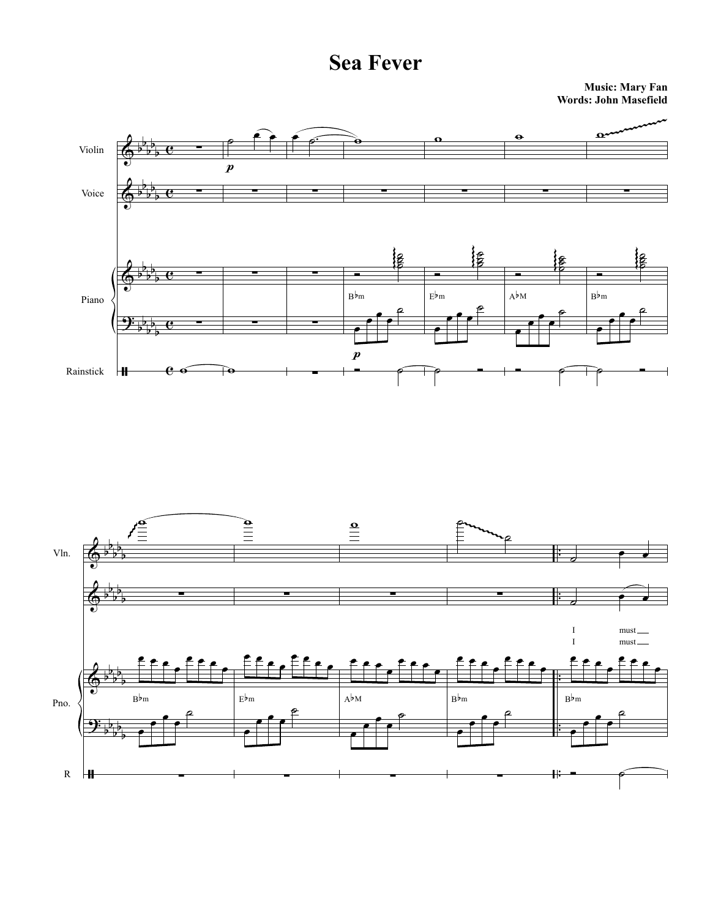**Music: Mary Fan Words: John Masefield**



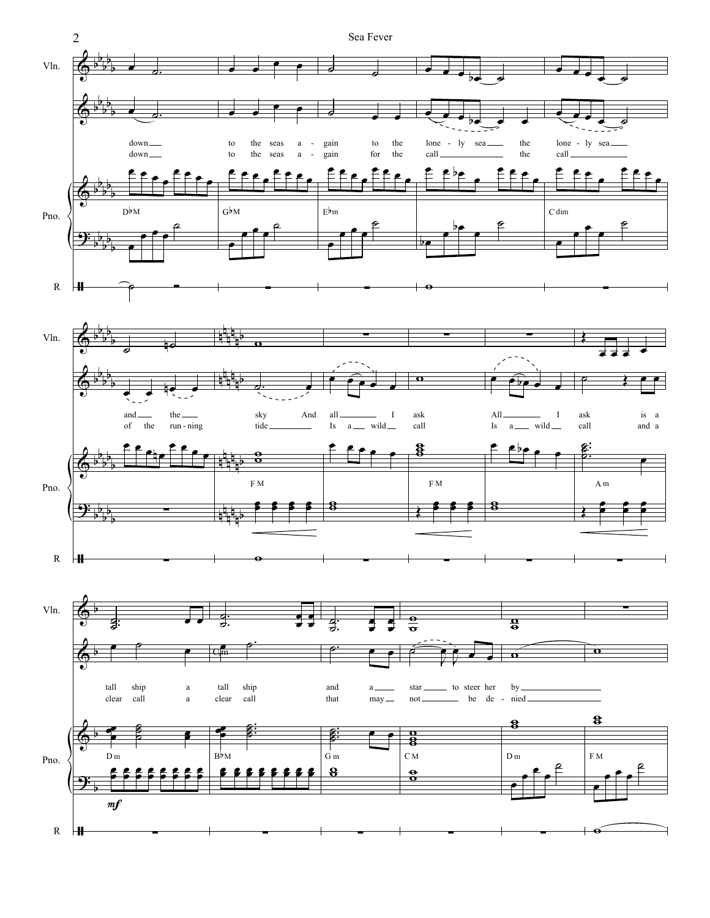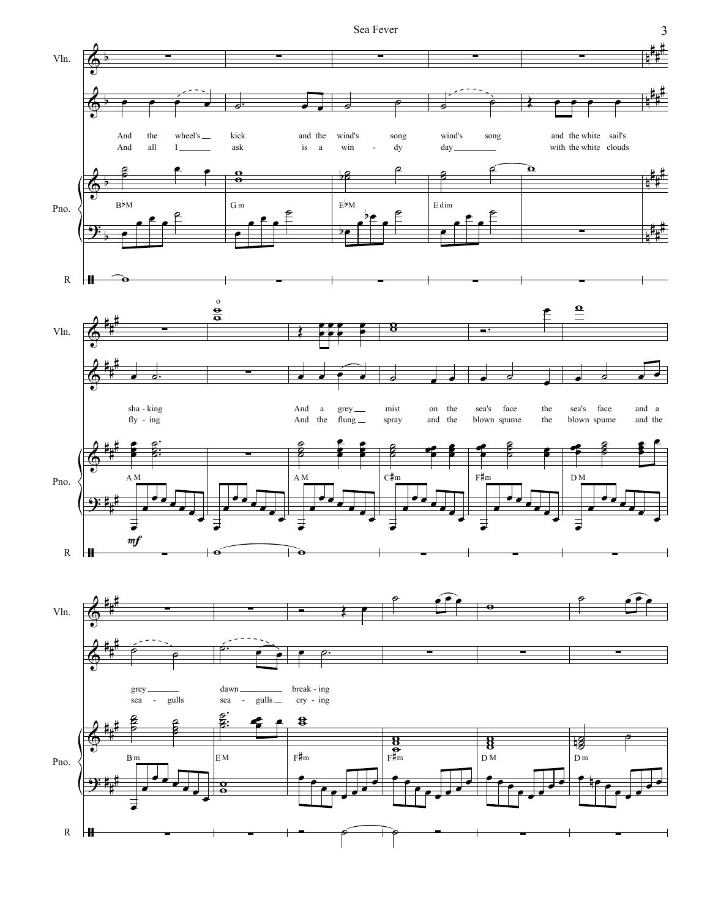

 $\mathfrak{Z}$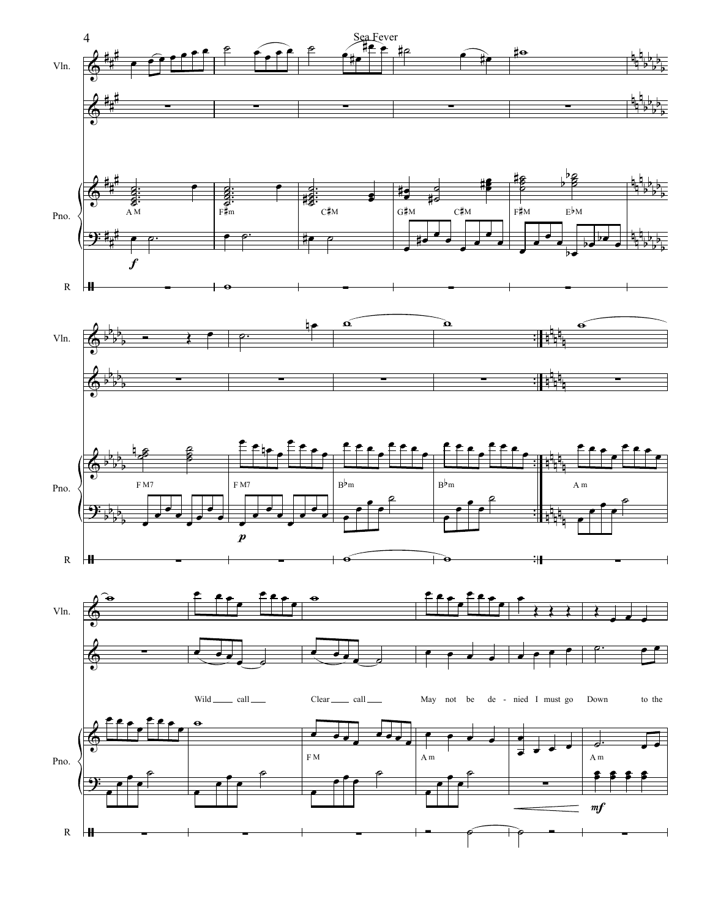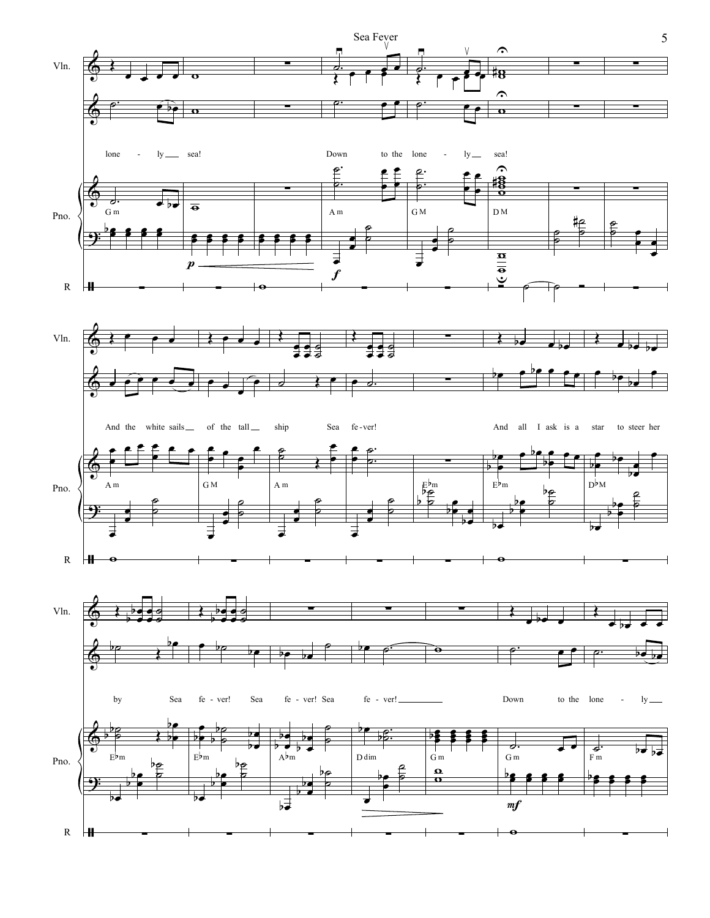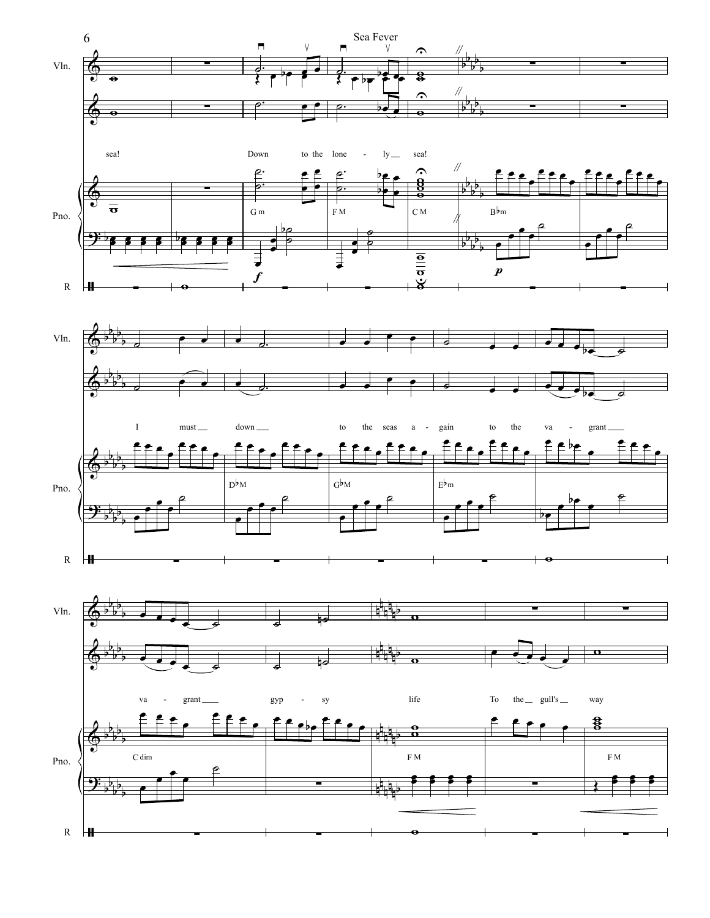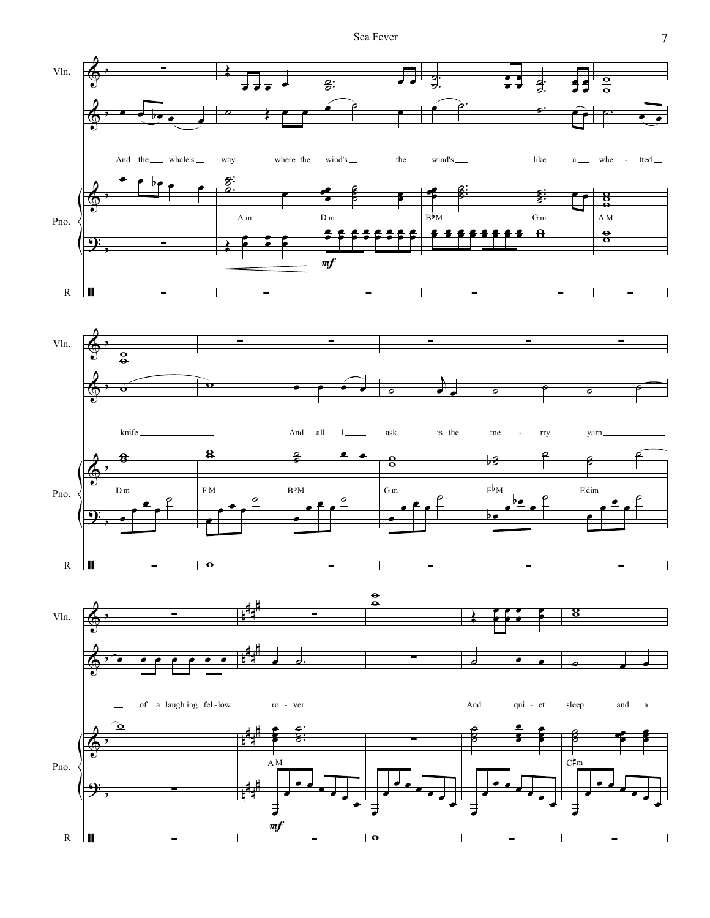